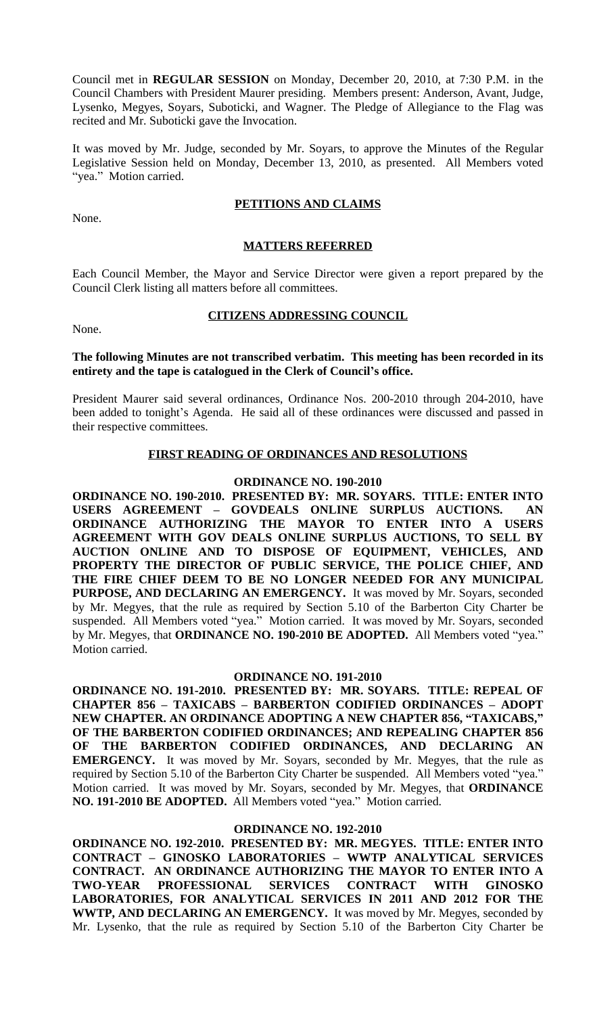Council met in **REGULAR SESSION** on Monday, December 20, 2010, at 7:30 P.M. in the Council Chambers with President Maurer presiding. Members present: Anderson, Avant, Judge, Lysenko, Megyes, Soyars, Suboticki, and Wagner. The Pledge of Allegiance to the Flag was recited and Mr. Suboticki gave the Invocation.

It was moved by Mr. Judge, seconded by Mr. Soyars, to approve the Minutes of the Regular Legislative Session held on Monday, December 13, 2010, as presented. All Members voted "yea." Motion carried.

None.

# **PETITIONS AND CLAIMS**

# **MATTERS REFERRED**

Each Council Member, the Mayor and Service Director were given a report prepared by the Council Clerk listing all matters before all committees.

None.

# **CITIZENS ADDRESSING COUNCIL**

# **The following Minutes are not transcribed verbatim. This meeting has been recorded in its entirety and the tape is catalogued in the Clerk of Council's office.**

President Maurer said several ordinances, Ordinance Nos. 200-2010 through 204-2010, have been added to tonight's Agenda. He said all of these ordinances were discussed and passed in their respective committees.

# **FIRST READING OF ORDINANCES AND RESOLUTIONS**

# **ORDINANCE NO. 190-2010**

**ORDINANCE NO. 190-2010. PRESENTED BY: MR. SOYARS. TITLE: ENTER INTO USERS AGREEMENT – GOVDEALS ONLINE SURPLUS AUCTIONS. AN ORDINANCE AUTHORIZING THE MAYOR TO ENTER INTO A USERS AGREEMENT WITH GOV DEALS ONLINE SURPLUS AUCTIONS, TO SELL BY AUCTION ONLINE AND TO DISPOSE OF EQUIPMENT, VEHICLES, AND PROPERTY THE DIRECTOR OF PUBLIC SERVICE, THE POLICE CHIEF, AND THE FIRE CHIEF DEEM TO BE NO LONGER NEEDED FOR ANY MUNICIPAL PURPOSE, AND DECLARING AN EMERGENCY.** It was moved by Mr. Soyars, seconded by Mr. Megyes, that the rule as required by Section 5.10 of the Barberton City Charter be suspended. All Members voted "yea." Motion carried. It was moved by Mr. Soyars, seconded by Mr. Megyes, that **ORDINANCE NO. 190-2010 BE ADOPTED.** All Members voted "yea." Motion carried.

### **ORDINANCE NO. 191-2010**

**ORDINANCE NO. 191-2010. PRESENTED BY: MR. SOYARS. TITLE: REPEAL OF CHAPTER 856 – TAXICABS – BARBERTON CODIFIED ORDINANCES – ADOPT NEW CHAPTER. AN ORDINANCE ADOPTING A NEW CHAPTER 856, "TAXICABS," OF THE BARBERTON CODIFIED ORDINANCES; AND REPEALING CHAPTER 856 OF THE BARBERTON CODIFIED ORDINANCES, AND DECLARING AN EMERGENCY.** It was moved by Mr. Soyars, seconded by Mr. Megyes, that the rule as required by Section 5.10 of the Barberton City Charter be suspended. All Members voted "yea." Motion carried. It was moved by Mr. Soyars, seconded by Mr. Megyes, that **ORDINANCE NO. 191-2010 BE ADOPTED.** All Members voted "yea." Motion carried.

### **ORDINANCE NO. 192-2010**

**ORDINANCE NO. 192-2010. PRESENTED BY: MR. MEGYES. TITLE: ENTER INTO CONTRACT – GINOSKO LABORATORIES – WWTP ANALYTICAL SERVICES CONTRACT. AN ORDINANCE AUTHORIZING THE MAYOR TO ENTER INTO A TWO-YEAR PROFESSIONAL SERVICES CONTRACT WITH GINOSKO LABORATORIES, FOR ANALYTICAL SERVICES IN 2011 AND 2012 FOR THE WWTP, AND DECLARING AN EMERGENCY.** It was moved by Mr. Megyes, seconded by Mr. Lysenko, that the rule as required by Section 5.10 of the Barberton City Charter be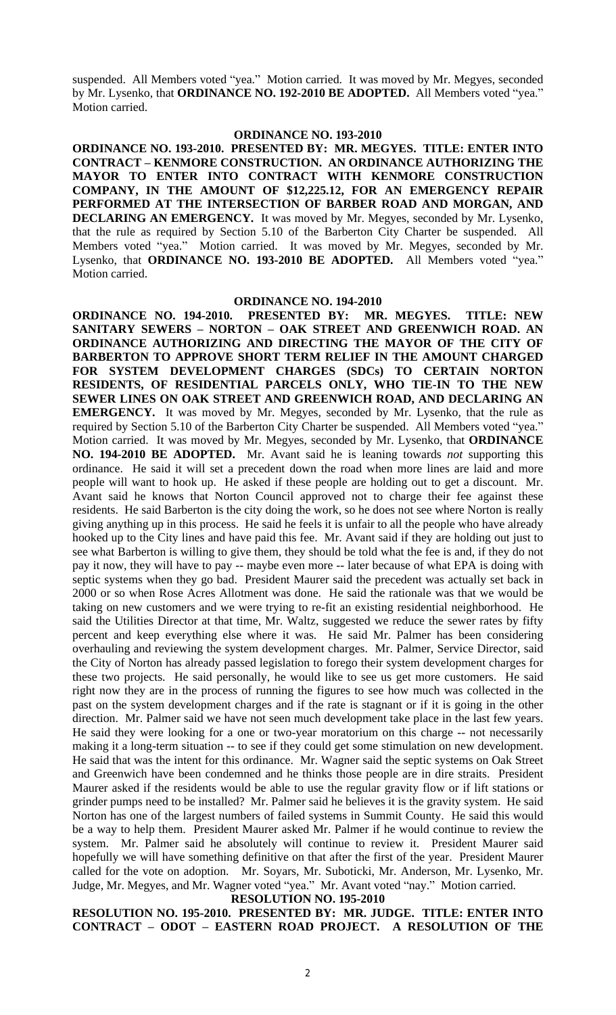suspended. All Members voted "yea." Motion carried. It was moved by Mr. Megyes, seconded by Mr. Lysenko, that **ORDINANCE NO. 192-2010 BE ADOPTED.** All Members voted "yea." Motion carried.

#### **ORDINANCE NO. 193-2010**

**ORDINANCE NO. 193-2010. PRESENTED BY: MR. MEGYES. TITLE: ENTER INTO CONTRACT – KENMORE CONSTRUCTION. AN ORDINANCE AUTHORIZING THE MAYOR TO ENTER INTO CONTRACT WITH KENMORE CONSTRUCTION COMPANY, IN THE AMOUNT OF \$12,225.12, FOR AN EMERGENCY REPAIR PERFORMED AT THE INTERSECTION OF BARBER ROAD AND MORGAN, AND DECLARING AN EMERGENCY.** It was moved by Mr. Megyes, seconded by Mr. Lysenko, that the rule as required by Section 5.10 of the Barberton City Charter be suspended. All Members voted "yea." Motion carried. It was moved by Mr. Megyes, seconded by Mr. Lysenko, that **ORDINANCE NO. 193-2010 BE ADOPTED.** All Members voted "yea." Motion carried.

**ORDINANCE NO. 194-2010**<br>**ORDINANCE NO. 194-2010. PRESENTED BY: MR ORDINANCE NO. 194-2010. PRESENTED BY: MR. MEGYES. TITLE: NEW SANITARY SEWERS – NORTON – OAK STREET AND GREENWICH ROAD. AN ORDINANCE AUTHORIZING AND DIRECTING THE MAYOR OF THE CITY OF BARBERTON TO APPROVE SHORT TERM RELIEF IN THE AMOUNT CHARGED FOR SYSTEM DEVELOPMENT CHARGES (SDCs) TO CERTAIN NORTON RESIDENTS, OF RESIDENTIAL PARCELS ONLY, WHO TIE-IN TO THE NEW SEWER LINES ON OAK STREET AND GREENWICH ROAD, AND DECLARING AN EMERGENCY.** It was moved by Mr. Megyes, seconded by Mr. Lysenko, that the rule as required by Section 5.10 of the Barberton City Charter be suspended. All Members voted "yea." Motion carried. It was moved by Mr. Megyes, seconded by Mr. Lysenko, that **ORDINANCE NO. 194-2010 BE ADOPTED.** Mr. Avant said he is leaning towards *not* supporting this ordinance. He said it will set a precedent down the road when more lines are laid and more people will want to hook up. He asked if these people are holding out to get a discount. Mr. Avant said he knows that Norton Council approved not to charge their fee against these residents. He said Barberton is the city doing the work, so he does not see where Norton is really giving anything up in this process. He said he feels it is unfair to all the people who have already hooked up to the City lines and have paid this fee. Mr. Avant said if they are holding out just to see what Barberton is willing to give them, they should be told what the fee is and, if they do not pay it now, they will have to pay -- maybe even more -- later because of what EPA is doing with septic systems when they go bad. President Maurer said the precedent was actually set back in 2000 or so when Rose Acres Allotment was done. He said the rationale was that we would be taking on new customers and we were trying to re-fit an existing residential neighborhood. He said the Utilities Director at that time, Mr. Waltz, suggested we reduce the sewer rates by fifty percent and keep everything else where it was. He said Mr. Palmer has been considering overhauling and reviewing the system development charges. Mr. Palmer, Service Director, said the City of Norton has already passed legislation to forego their system development charges for these two projects. He said personally, he would like to see us get more customers. He said right now they are in the process of running the figures to see how much was collected in the past on the system development charges and if the rate is stagnant or if it is going in the other direction. Mr. Palmer said we have not seen much development take place in the last few years. He said they were looking for a one or two-year moratorium on this charge -- not necessarily making it a long-term situation -- to see if they could get some stimulation on new development. He said that was the intent for this ordinance. Mr. Wagner said the septic systems on Oak Street and Greenwich have been condemned and he thinks those people are in dire straits. President Maurer asked if the residents would be able to use the regular gravity flow or if lift stations or grinder pumps need to be installed? Mr. Palmer said he believes it is the gravity system. He said Norton has one of the largest numbers of failed systems in Summit County. He said this would be a way to help them. President Maurer asked Mr. Palmer if he would continue to review the system. Mr. Palmer said he absolutely will continue to review it. President Maurer said hopefully we will have something definitive on that after the first of the year. President Maurer called for the vote on adoption. Mr. Soyars, Mr. Suboticki, Mr. Anderson, Mr. Lysenko, Mr. Judge, Mr. Megyes, and Mr. Wagner voted "yea." Mr. Avant voted "nay." Motion carried.

**RESOLUTION NO. 195-2010**

**RESOLUTION NO. 195-2010. PRESENTED BY: MR. JUDGE. TITLE: ENTER INTO CONTRACT – ODOT – EASTERN ROAD PROJECT. A RESOLUTION OF THE**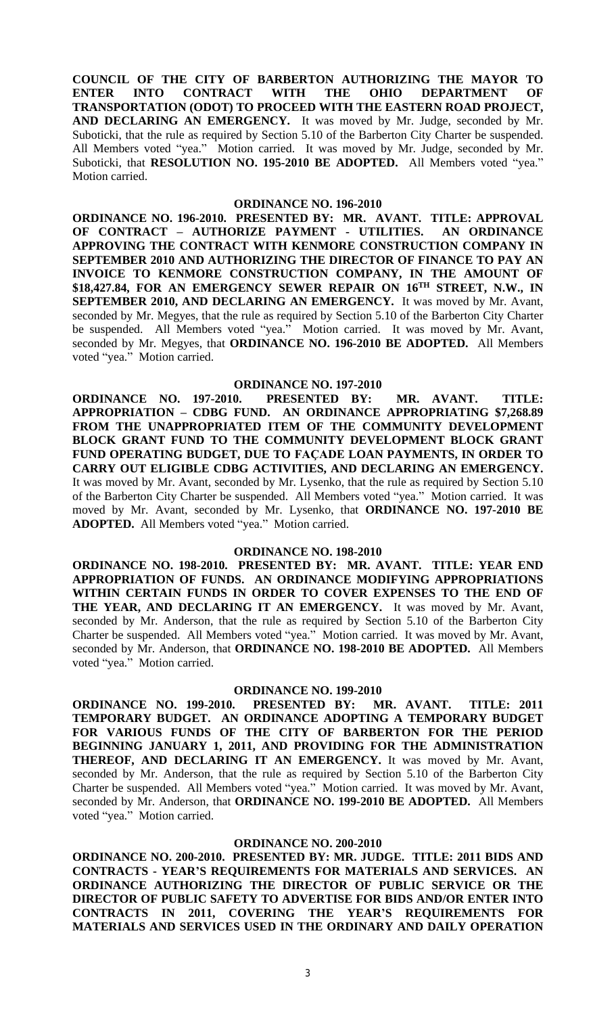**COUNCIL OF THE CITY OF BARBERTON AUTHORIZING THE MAYOR TO ENTER INTO CONTRACT WITH THE OHIO DEPARTMENT OF TRANSPORTATION (ODOT) TO PROCEED WITH THE EASTERN ROAD PROJECT, AND DECLARING AN EMERGENCY.** It was moved by Mr. Judge, seconded by Mr. Suboticki, that the rule as required by Section 5.10 of the Barberton City Charter be suspended. All Members voted "yea." Motion carried. It was moved by Mr. Judge, seconded by Mr. Suboticki, that **RESOLUTION NO. 195-2010 BE ADOPTED.** All Members voted "yea." Motion carried.

#### **ORDINANCE NO. 196-2010**

**ORDINANCE NO. 196-2010. PRESENTED BY: MR. AVANT. TITLE: APPROVAL OF CONTRACT – AUTHORIZE PAYMENT - UTILITIES. AN ORDINANCE APPROVING THE CONTRACT WITH KENMORE CONSTRUCTION COMPANY IN SEPTEMBER 2010 AND AUTHORIZING THE DIRECTOR OF FINANCE TO PAY AN INVOICE TO KENMORE CONSTRUCTION COMPANY, IN THE AMOUNT OF \$18,427.84, FOR AN EMERGENCY SEWER REPAIR ON 16TH STREET, N.W., IN SEPTEMBER 2010, AND DECLARING AN EMERGENCY.** It was moved by Mr. Avant, seconded by Mr. Megyes, that the rule as required by Section 5.10 of the Barberton City Charter be suspended. All Members voted "yea." Motion carried. It was moved by Mr. Avant, seconded by Mr. Megyes, that **ORDINANCE NO. 196-2010 BE ADOPTED.** All Members voted "yea." Motion carried.

### **ORDINANCE NO. 197-2010**

**ORDINANCE NO. 197-2010. PRESENTED BY: MR. AVANT. TITLE: APPROPRIATION – CDBG FUND. AN ORDINANCE APPROPRIATING \$7,268.89 FROM THE UNAPPROPRIATED ITEM OF THE COMMUNITY DEVELOPMENT BLOCK GRANT FUND TO THE COMMUNITY DEVELOPMENT BLOCK GRANT FUND OPERATING BUDGET, DUE TO FAÇADE LOAN PAYMENTS, IN ORDER TO CARRY OUT ELIGIBLE CDBG ACTIVITIES, AND DECLARING AN EMERGENCY.** It was moved by Mr. Avant, seconded by Mr. Lysenko, that the rule as required by Section 5.10 of the Barberton City Charter be suspended. All Members voted "yea." Motion carried. It was moved by Mr. Avant, seconded by Mr. Lysenko, that **ORDINANCE NO. 197-2010 BE ADOPTED.** All Members voted "yea." Motion carried.

#### **ORDINANCE NO. 198-2010**

**ORDINANCE NO. 198-2010. PRESENTED BY: MR. AVANT. TITLE: YEAR END APPROPRIATION OF FUNDS. AN ORDINANCE MODIFYING APPROPRIATIONS WITHIN CERTAIN FUNDS IN ORDER TO COVER EXPENSES TO THE END OF THE YEAR, AND DECLARING IT AN EMERGENCY.** It was moved by Mr. Avant, seconded by Mr. Anderson, that the rule as required by Section 5.10 of the Barberton City Charter be suspended. All Members voted "yea." Motion carried. It was moved by Mr. Avant, seconded by Mr. Anderson, that **ORDINANCE NO. 198-2010 BE ADOPTED.** All Members voted "yea." Motion carried.

#### **ORDINANCE NO. 199-2010**

**ORDINANCE NO. 199-2010. PRESENTED BY: MR. AVANT. TITLE: 2011 TEMPORARY BUDGET. AN ORDINANCE ADOPTING A TEMPORARY BUDGET FOR VARIOUS FUNDS OF THE CITY OF BARBERTON FOR THE PERIOD BEGINNING JANUARY 1, 2011, AND PROVIDING FOR THE ADMINISTRATION THEREOF, AND DECLARING IT AN EMERGENCY.** It was moved by Mr. Avant, seconded by Mr. Anderson, that the rule as required by Section 5.10 of the Barberton City Charter be suspended. All Members voted "yea." Motion carried. It was moved by Mr. Avant, seconded by Mr. Anderson, that **ORDINANCE NO. 199-2010 BE ADOPTED.** All Members voted "yea." Motion carried.

#### **ORDINANCE NO. 200-2010**

**ORDINANCE NO. 200-2010. PRESENTED BY: MR. JUDGE. TITLE: 2011 BIDS AND CONTRACTS - YEAR'S REQUIREMENTS FOR MATERIALS AND SERVICES. AN ORDINANCE AUTHORIZING THE DIRECTOR OF PUBLIC SERVICE OR THE DIRECTOR OF PUBLIC SAFETY TO ADVERTISE FOR BIDS AND/OR ENTER INTO CONTRACTS IN 2011, COVERING THE YEAR'S REQUIREMENTS FOR MATERIALS AND SERVICES USED IN THE ORDINARY AND DAILY OPERATION**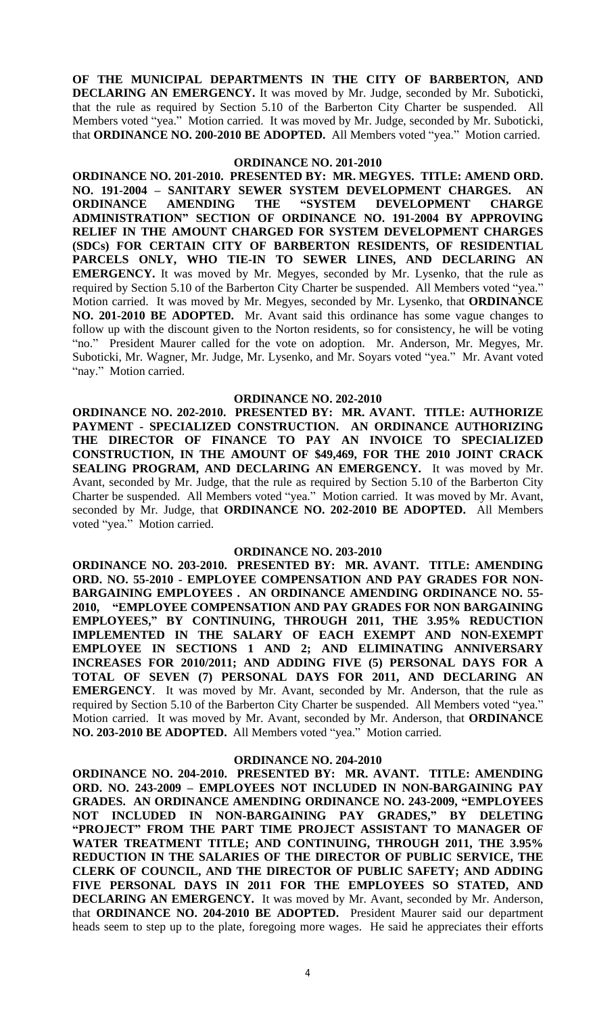**OF THE MUNICIPAL DEPARTMENTS IN THE CITY OF BARBERTON, AND DECLARING AN EMERGENCY.** It was moved by Mr. Judge, seconded by Mr. Suboticki, that the rule as required by Section 5.10 of the Barberton City Charter be suspended. All Members voted "yea." Motion carried. It was moved by Mr. Judge, seconded by Mr. Suboticki, that **ORDINANCE NO. 200-2010 BE ADOPTED.** All Members voted "yea." Motion carried.

#### **ORDINANCE NO. 201-2010**

**ORDINANCE NO. 201-2010. PRESENTED BY: MR. MEGYES. TITLE: AMEND ORD. NO. 191-2004 – SANITARY SEWER SYSTEM DEVELOPMENT CHARGES. AN ORDINANCE AMENDING THE "SYSTEM DEVELOPMENT CHARGE ADMINISTRATION" SECTION OF ORDINANCE NO. 191-2004 BY APPROVING RELIEF IN THE AMOUNT CHARGED FOR SYSTEM DEVELOPMENT CHARGES (SDCs) FOR CERTAIN CITY OF BARBERTON RESIDENTS, OF RESIDENTIAL PARCELS ONLY, WHO TIE-IN TO SEWER LINES, AND DECLARING AN EMERGENCY.** It was moved by Mr. Megyes, seconded by Mr. Lysenko, that the rule as required by Section 5.10 of the Barberton City Charter be suspended. All Members voted "yea." Motion carried. It was moved by Mr. Megyes, seconded by Mr. Lysenko, that **ORDINANCE NO. 201-2010 BE ADOPTED.** Mr. Avant said this ordinance has some vague changes to follow up with the discount given to the Norton residents, so for consistency, he will be voting "no." President Maurer called for the vote on adoption. Mr. Anderson, Mr. Megyes, Mr. Suboticki, Mr. Wagner, Mr. Judge, Mr. Lysenko, and Mr. Soyars voted "yea." Mr. Avant voted "nay." Motion carried.

#### **ORDINANCE NO. 202-2010**

**ORDINANCE NO. 202-2010. PRESENTED BY: MR. AVANT. TITLE: AUTHORIZE PAYMENT - SPECIALIZED CONSTRUCTION. AN ORDINANCE AUTHORIZING THE DIRECTOR OF FINANCE TO PAY AN INVOICE TO SPECIALIZED CONSTRUCTION, IN THE AMOUNT OF \$49,469, FOR THE 2010 JOINT CRACK SEALING PROGRAM, AND DECLARING AN EMERGENCY.** It was moved by Mr. Avant, seconded by Mr. Judge, that the rule as required by Section 5.10 of the Barberton City Charter be suspended. All Members voted "yea." Motion carried. It was moved by Mr. Avant, seconded by Mr. Judge, that **ORDINANCE NO. 202-2010 BE ADOPTED.** All Members voted "yea." Motion carried.

### **ORDINANCE NO. 203-2010**

**ORDINANCE NO. 203-2010. PRESENTED BY: MR. AVANT. TITLE: AMENDING ORD. NO. 55-2010 - EMPLOYEE COMPENSATION AND PAY GRADES FOR NON-BARGAINING EMPLOYEES . AN ORDINANCE AMENDING ORDINANCE NO. 55- 2010, "EMPLOYEE COMPENSATION AND PAY GRADES FOR NON BARGAINING EMPLOYEES," BY CONTINUING, THROUGH 2011, THE 3.95% REDUCTION IMPLEMENTED IN THE SALARY OF EACH EXEMPT AND NON-EXEMPT EMPLOYEE IN SECTIONS 1 AND 2; AND ELIMINATING ANNIVERSARY INCREASES FOR 2010/2011; AND ADDING FIVE (5) PERSONAL DAYS FOR A TOTAL OF SEVEN (7) PERSONAL DAYS FOR 2011, AND DECLARING AN EMERGENCY**. It was moved by Mr. Avant, seconded by Mr. Anderson, that the rule as required by Section 5.10 of the Barberton City Charter be suspended. All Members voted "yea." Motion carried. It was moved by Mr. Avant, seconded by Mr. Anderson, that **ORDINANCE NO. 203-2010 BE ADOPTED.** All Members voted "yea." Motion carried.

#### **ORDINANCE NO. 204-2010**

**ORDINANCE NO. 204-2010. PRESENTED BY: MR. AVANT. TITLE: AMENDING ORD. NO. 243-2009 – EMPLOYEES NOT INCLUDED IN NON-BARGAINING PAY GRADES. AN ORDINANCE AMENDING ORDINANCE NO. 243-2009, "EMPLOYEES NOT INCLUDED IN NON-BARGAINING PAY GRADES," BY DELETING "PROJECT" FROM THE PART TIME PROJECT ASSISTANT TO MANAGER OF WATER TREATMENT TITLE; AND CONTINUING, THROUGH 2011, THE 3.95% REDUCTION IN THE SALARIES OF THE DIRECTOR OF PUBLIC SERVICE, THE CLERK OF COUNCIL, AND THE DIRECTOR OF PUBLIC SAFETY; AND ADDING FIVE PERSONAL DAYS IN 2011 FOR THE EMPLOYEES SO STATED, AND DECLARING AN EMERGENCY.** It was moved by Mr. Avant, seconded by Mr. Anderson, that **ORDINANCE NO. 204-2010 BE ADOPTED.** President Maurer said our department heads seem to step up to the plate, foregoing more wages. He said he appreciates their efforts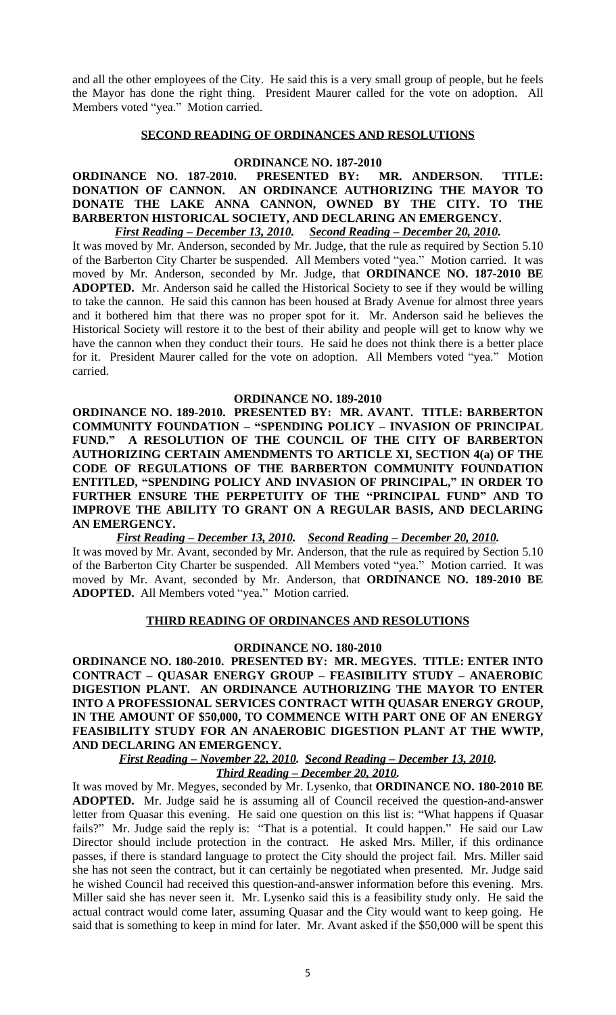and all the other employees of the City. He said this is a very small group of people, but he feels the Mayor has done the right thing. President Maurer called for the vote on adoption. All Members voted "yea." Motion carried.

# **SECOND READING OF ORDINANCES AND RESOLUTIONS**

### **ORDINANCE NO. 187-2010**

# **ORDINANCE NO. 187-2010. PRESENTED BY: MR. ANDERSON. TITLE: DONATION OF CANNON. AN ORDINANCE AUTHORIZING THE MAYOR TO DONATE THE LAKE ANNA CANNON, OWNED BY THE CITY. TO THE BARBERTON HISTORICAL SOCIETY, AND DECLARING AN EMERGENCY.**

*First Reading – December 13, 2010. Second Reading – December 20, 2010.* It was moved by Mr. Anderson, seconded by Mr. Judge, that the rule as required by Section 5.10 of the Barberton City Charter be suspended. All Members voted "yea." Motion carried. It was moved by Mr. Anderson, seconded by Mr. Judge, that **ORDINANCE NO. 187-2010 BE ADOPTED.** Mr. Anderson said he called the Historical Society to see if they would be willing to take the cannon. He said this cannon has been housed at Brady Avenue for almost three years and it bothered him that there was no proper spot for it. Mr. Anderson said he believes the Historical Society will restore it to the best of their ability and people will get to know why we have the cannon when they conduct their tours. He said he does not think there is a better place for it. President Maurer called for the vote on adoption. All Members voted "yea." Motion carried.

#### **ORDINANCE NO. 189-2010**

**ORDINANCE NO. 189-2010. PRESENTED BY: MR. AVANT. TITLE: BARBERTON COMMUNITY FOUNDATION – "SPENDING POLICY – INVASION OF PRINCIPAL FUND." A RESOLUTION OF THE COUNCIL OF THE CITY OF BARBERTON AUTHORIZING CERTAIN AMENDMENTS TO ARTICLE XI, SECTION 4(a) OF THE CODE OF REGULATIONS OF THE BARBERTON COMMUNITY FOUNDATION ENTITLED, "SPENDING POLICY AND INVASION OF PRINCIPAL," IN ORDER TO FURTHER ENSURE THE PERPETUITY OF THE "PRINCIPAL FUND" AND TO IMPROVE THE ABILITY TO GRANT ON A REGULAR BASIS, AND DECLARING AN EMERGENCY.** 

*First Reading – December 13, 2010. Second Reading – December 20, 2010.*

It was moved by Mr. Avant, seconded by Mr. Anderson, that the rule as required by Section 5.10 of the Barberton City Charter be suspended. All Members voted "yea." Motion carried. It was moved by Mr. Avant, seconded by Mr. Anderson, that **ORDINANCE NO. 189-2010 BE ADOPTED.** All Members voted "yea." Motion carried.

# **THIRD READING OF ORDINANCES AND RESOLUTIONS**

#### **ORDINANCE NO. 180-2010**

**ORDINANCE NO. 180-2010. PRESENTED BY: MR. MEGYES. TITLE: ENTER INTO CONTRACT – QUASAR ENERGY GROUP – FEASIBILITY STUDY – ANAEROBIC DIGESTION PLANT. AN ORDINANCE AUTHORIZING THE MAYOR TO ENTER INTO A PROFESSIONAL SERVICES CONTRACT WITH QUASAR ENERGY GROUP, IN THE AMOUNT OF \$50,000, TO COMMENCE WITH PART ONE OF AN ENERGY FEASIBILITY STUDY FOR AN ANAEROBIC DIGESTION PLANT AT THE WWTP, AND DECLARING AN EMERGENCY.** 

*First Reading – November 22, 2010. Second Reading – December 13, 2010. Third Reading – December 20, 2010.*

It was moved by Mr. Megyes, seconded by Mr. Lysenko, that **ORDINANCE NO. 180-2010 BE ADOPTED.** Mr. Judge said he is assuming all of Council received the question-and-answer letter from Quasar this evening. He said one question on this list is: "What happens if Quasar fails?" Mr. Judge said the reply is: "That is a potential. It could happen." He said our Law Director should include protection in the contract. He asked Mrs. Miller, if this ordinance passes, if there is standard language to protect the City should the project fail. Mrs. Miller said she has not seen the contract, but it can certainly be negotiated when presented. Mr. Judge said he wished Council had received this question-and-answer information before this evening. Mrs. Miller said she has never seen it. Mr. Lysenko said this is a feasibility study only. He said the actual contract would come later, assuming Quasar and the City would want to keep going. He said that is something to keep in mind for later. Mr. Avant asked if the \$50,000 will be spent this